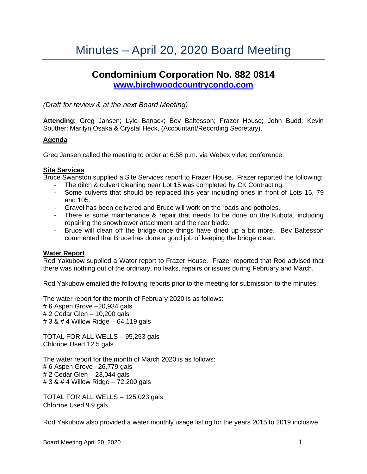# Minutes – April 20, 2020 Board Meeting

## **Condominium Corporation No. 882 0814 [www.birchwoodcountrycondo.com](http://www.birchwoodcountrycondo.com/)**

*(Draft for review & at the next Board Meeting)*

**Attending**: Greg Jansen; Lyle Banack; Bev Baltesson; Frazer House; John Budd; Kevin Souther; Marilyn Osaka & Crystal Heck, (Accountant/Recording Secretary).

## **Agenda**

Greg Jansen called the meeting to order at 6:58 p.m. via Webex video conference.

## **Site Services**

Bruce Swanston supplied a Site Services report to Frazer House. Frazer reported the following:

- The ditch & culvert cleaning near Lot 15 was completed by CK Contracting.
- Some culverts that should be replaced this year including ones in front of Lots 15, 79 and 105.
- Gravel has been delivered and Bruce will work on the roads and potholes.
- There is some maintenance & repair that needs to be done on the Kubota, including repairing the snowblower attachment and the rear blade.
- Bruce will clean off the bridge once things have dried up a bit more. Bev Baltesson commented that Bruce has done a good job of keeping the bridge clean.

## **Water Report**

Rod Yakubow supplied a Water report to Frazer House. Frazer reported that Rod advised that there was nothing out of the ordinary, no leaks, repairs or issues during February and March.

Rod Yakubow emailed the following reports prior to the meeting for submission to the minutes.

The water report for the month of February 2020 is as follows:

# 6 Aspen Grove –20,934 gals

# 2 Cedar Glen – 10,200 gals # 3 & # 4 Willow Ridge – 64,119 gals

TOTAL FOR ALL WELLS – 95,253 gals Chlorine Used 12.5 gals

The water report for the month of March 2020 is as follows: # 6 Aspen Grove –26,779 gals # 2 Cedar Glen – 23,044 gals # 3 & # 4 Willow Ridge – 72,200 gals

TOTAL FOR ALL WELLS – 125,023 gals Chlorine Used 9.9 gals

Rod Yakubow also provided a water monthly usage listing for the years 2015 to 2019 inclusive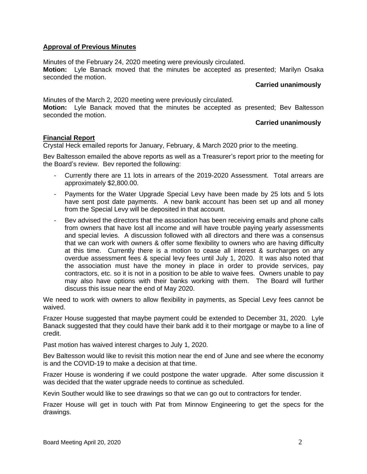## **Approval of Previous Minutes**

Minutes of the February 24, 2020 meeting were previously circulated. **Motion:** Lyle Banack moved that the minutes be accepted as presented; Marilyn Osaka seconded the motion.

#### **Carried unanimously**

Minutes of the March 2, 2020 meeting were previously circulated. **Motion:** Lyle Banack moved that the minutes be accepted as presented; Bev Baltesson seconded the motion.

## **Carried unanimously**

## **Financial Report**

Crystal Heck emailed reports for January, February, & March 2020 prior to the meeting.

Bev Baltesson emailed the above reports as well as a Treasurer's report prior to the meeting for the Board's review. Bev reported the following:

- Currently there are 11 lots in arrears of the 2019-2020 Assessment. Total arrears are approximately \$2,800.00.
- Payments for the Water Upgrade Special Levy have been made by 25 lots and 5 lots have sent post date payments. A new bank account has been set up and all money from the Special Levy will be deposited in that account.
- Bev advised the directors that the association has been receiving emails and phone calls from owners that have lost all income and will have trouble paying yearly assessments and special levies. A discussion followed with all directors and there was a consensus that we can work with owners & offer some flexibility to owners who are having difficulty at this time. Currently there is a motion to cease all interest & surcharges on any overdue assessment fees & special levy fees until July 1, 2020. It was also noted that the association must have the money in place in order to provide services, pay contractors, etc. so it is not in a position to be able to waive fees. Owners unable to pay may also have options with their banks working with them. The Board will further discuss this issue near the end of May 2020.

We need to work with owners to allow flexibility in payments, as Special Levy fees cannot be waived.

Frazer House suggested that maybe payment could be extended to December 31, 2020. Lyle Banack suggested that they could have their bank add it to their mortgage or maybe to a line of credit.

Past motion has waived interest charges to July 1, 2020.

Bev Baltesson would like to revisit this motion near the end of June and see where the economy is and the COVID-19 to make a decision at that time.

Frazer House is wondering if we could postpone the water upgrade. After some discussion it was decided that the water upgrade needs to continue as scheduled.

Kevin Souther would like to see drawings so that we can go out to contractors for tender.

Frazer House will get in touch with Pat from Minnow Engineering to get the specs for the drawings.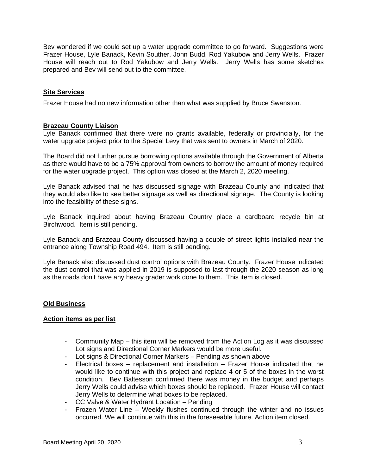Bev wondered if we could set up a water upgrade committee to go forward. Suggestions were Frazer House, Lyle Banack, Kevin Souther, John Budd, Rod Yakubow and Jerry Wells. Frazer House will reach out to Rod Yakubow and Jerry Wells. Jerry Wells has some sketches prepared and Bev will send out to the committee.

## **Site Services**

Frazer House had no new information other than what was supplied by Bruce Swanston.

## **Brazeau County Liaison**

Lyle Banack confirmed that there were no grants available, federally or provincially, for the water upgrade project prior to the Special Levy that was sent to owners in March of 2020.

The Board did not further pursue borrowing options available through the Government of Alberta as there would have to be a 75% approval from owners to borrow the amount of money required for the water upgrade project. This option was closed at the March 2, 2020 meeting.

Lyle Banack advised that he has discussed signage with Brazeau County and indicated that they would also like to see better signage as well as directional signage. The County is looking into the feasibility of these signs.

Lyle Banack inquired about having Brazeau Country place a cardboard recycle bin at Birchwood. Item is still pending.

Lyle Banack and Brazeau County discussed having a couple of street lights installed near the entrance along Township Road 494. Item is still pending.

Lyle Banack also discussed dust control options with Brazeau County. Frazer House indicated the dust control that was applied in 2019 is supposed to last through the 2020 season as long as the roads don't have any heavy grader work done to them. This item is closed.

## **Old Business**

## **Action items as per list**

- Community Map this item will be removed from the Action Log as it was discussed Lot signs and Directional Corner Markers would be more useful.
- Lot signs & Directional Corner Markers Pending as shown above
- Electrical boxes replacement and installation Frazer House indicated that he would like to continue with this project and replace 4 or 5 of the boxes in the worst condition. Bev Baltesson confirmed there was money in the budget and perhaps Jerry Wells could advise which boxes should be replaced. Frazer House will contact Jerry Wells to determine what boxes to be replaced.
- CC Valve & Water Hydrant Location Pending
- Frozen Water Line Weekly flushes continued through the winter and no issues occurred. We will continue with this in the foreseeable future. Action item closed.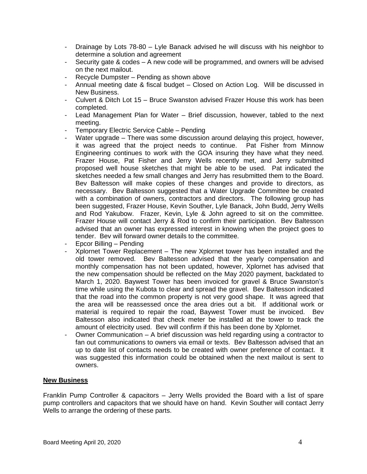- Drainage by Lots 78-80 Lyle Banack advised he will discuss with his neighbor to determine a solution and agreement
- Security gate & codes A new code will be programmed, and owners will be advised on the next mailout.
- Recycle Dumpster Pending as shown above
- Annual meeting date & fiscal budget Closed on Action Log. Will be discussed in New Business.
- Culvert & Ditch Lot 15 Bruce Swanston advised Frazer House this work has been completed.
- Lead Management Plan for Water Brief discussion, however, tabled to the next meeting.
- Temporary Electric Service Cable Pending
- Water upgrade There was some discussion around delaying this project, however, it was agreed that the project needs to continue. Pat Fisher from Minnow Engineering continues to work with the GOA insuring they have what they need. Frazer House, Pat Fisher and Jerry Wells recently met, and Jerry submitted proposed well house sketches that might be able to be used. Pat indicated the sketches needed a few small changes and Jerry has resubmitted them to the Board. Bev Baltesson will make copies of these changes and provide to directors, as necessary. Bev Baltesson suggested that a Water Upgrade Committee be created with a combination of owners, contractors and directors. The following group has been suggested, Frazer House, Kevin Souther, Lyle Banack, John Budd, Jerry Wells and Rod Yakubow. Frazer, Kevin, Lyle & John agreed to sit on the committee. Frazer House will contact Jerry & Rod to confirm their participation. Bev Baltesson advised that an owner has expressed interest in knowing when the project goes to tender. Bev will forward owner details to the committee.
- Epcor Billing Pending
- Xplornet Tower Replacement The new Xplornet tower has been installed and the old tower removed. Bev Baltesson advised that the yearly compensation and monthly compensation has not been updated, however, Xplornet has advised that the new compensation should be reflected on the May 2020 payment, backdated to March 1, 2020. Baywest Tower has been invoiced for gravel & Bruce Swanston's time while using the Kubota to clear and spread the gravel. Bev Baltesson indicated that the road into the common property is not very good shape. It was agreed that the area will be reassessed once the area dries out a bit. If additional work or material is required to repair the road, Baywest Tower must be invoiced. Bev Baltesson also indicated that check meter be installed at the tower to track the amount of electricity used. Bev will confirm if this has been done by Xplornet.
- Owner Communication A brief discussion was held regarding using a contractor to fan out communications to owners via email or texts. Bev Baltesson advised that an up to date list of contacts needs to be created with owner preference of contact. It was suggested this information could be obtained when the next mailout is sent to owners.

## **New Business**

Franklin Pump Controller & capacitors – Jerry Wells provided the Board with a list of spare pump controllers and capacitors that we should have on hand. Kevin Souther will contact Jerry Wells to arrange the ordering of these parts.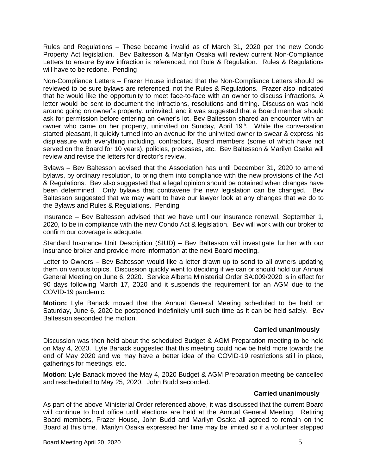Rules and Regulations – These became invalid as of March 31, 2020 per the new Condo Property Act legislation. Bev Baltesson & Marilyn Osaka will review current Non-Compliance Letters to ensure Bylaw infraction is referenced, not Rule & Regulation. Rules & Regulations will have to be redone. Pending

Non-Compliance Letters – Frazer House indicated that the Non-Compliance Letters should be reviewed to be sure bylaws are referenced, not the Rules & Regulations. Frazer also indicated that he would like the opportunity to meet face-to-face with an owner to discuss infractions. A letter would be sent to document the infractions, resolutions and timing. Discussion was held around going on owner's property, uninvited, and it was suggested that a Board member should ask for permission before entering an owner's lot. Bev Baltesson shared an encounter with an owner who came on her property, uninvited on Sunday, April 19<sup>th</sup>. While the conversation started pleasant, it quickly turned into an avenue for the uninvited owner to swear & express his displeasure with everything including, contractors, Board members (some of which have not served on the Board for 10 years), policies, processes, etc. Bev Baltesson & Marilyn Osaka will review and revise the letters for director's review.

Bylaws – Bev Baltesson advised that the Association has until December 31, 2020 to amend bylaws, by ordinary resolution, to bring them into compliance with the new provisions of the Act & Regulations. Bev also suggested that a legal opinion should be obtained when changes have been determined. Only bylaws that contravene the new legislation can be changed. Bev Baltesson suggested that we may want to have our lawyer look at any changes that we do to the Bylaws and Rules & Regulations. Pending

Insurance – Bev Baltesson advised that we have until our insurance renewal, September 1, 2020, to be in compliance with the new Condo Act & legislation. Bev will work with our broker to confirm our coverage is adequate.

Standard Insurance Unit Description (SIUD) – Bev Baltesson will investigate further with our insurance broker and provide more information at the next Board meeting.

Letter to Owners – Bev Baltesson would like a letter drawn up to send to all owners updating them on various topics. Discussion quickly went to deciding if we can or should hold our Annual General Meeting on June 6, 2020. Service Alberta Ministerial Order SA:009/2020 is in effect for 90 days following March 17, 2020 and it suspends the requirement for an AGM due to the COVID-19 pandemic.

**Motion:** Lyle Banack moved that the Annual General Meeting scheduled to be held on Saturday, June 6, 2020 be postponed indefinitely until such time as it can be held safely. Bev Baltesson seconded the motion.

## **Carried unanimously**

Discussion was then held about the scheduled Budget & AGM Preparation meeting to be held on May 4, 2020. Lyle Banack suggested that this meeting could now be held more towards the end of May 2020 and we may have a better idea of the COVID-19 restrictions still in place, gatherings for meetings, etc.

**Motion**: Lyle Banack moved the May 4, 2020 Budget & AGM Preparation meeting be cancelled and rescheduled to May 25, 2020. John Budd seconded.

## **Carried unanimously**

As part of the above Ministerial Order referenced above, it was discussed that the current Board will continue to hold office until elections are held at the Annual General Meeting. Retiring Board members, Frazer House, John Budd and Marilyn Osaka all agreed to remain on the Board at this time. Marilyn Osaka expressed her time may be limited so if a volunteer stepped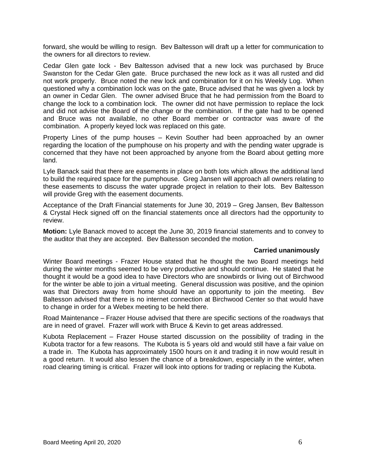forward, she would be willing to resign. Bev Baltesson will draft up a letter for communication to the owners for all directors to review.

Cedar Glen gate lock - Bev Baltesson advised that a new lock was purchased by Bruce Swanston for the Cedar Glen gate. Bruce purchased the new lock as it was all rusted and did not work properly. Bruce noted the new lock and combination for it on his Weekly Log. When questioned why a combination lock was on the gate, Bruce advised that he was given a lock by an owner in Cedar Glen. The owner advised Bruce that he had permission from the Board to change the lock to a combination lock. The owner did not have permission to replace the lock and did not advise the Board of the change or the combination. If the gate had to be opened and Bruce was not available, no other Board member or contractor was aware of the combination. A properly keyed lock was replaced on this gate.

Property Lines of the pump houses – Kevin Souther had been approached by an owner regarding the location of the pumphouse on his property and with the pending water upgrade is concerned that they have not been approached by anyone from the Board about getting more land.

Lyle Banack said that there are easements in place on both lots which allows the additional land to build the required space for the pumphouse. Greg Jansen will approach all owners relating to these easements to discuss the water upgrade project in relation to their lots. Bev Baltesson will provide Greg with the easement documents.

Acceptance of the Draft Financial statements for June 30, 2019 – Greg Jansen, Bev Baltesson & Crystal Heck signed off on the financial statements once all directors had the opportunity to review.

**Motion:** Lyle Banack moved to accept the June 30, 2019 financial statements and to convey to the auditor that they are accepted. Bev Baltesson seconded the motion.

## **Carried unanimously**

Winter Board meetings - Frazer House stated that he thought the two Board meetings held during the winter months seemed to be very productive and should continue. He stated that he thought it would be a good idea to have Directors who are snowbirds or living out of Birchwood for the winter be able to join a virtual meeting. General discussion was positive, and the opinion was that Directors away from home should have an opportunity to join the meeting. Bev Baltesson advised that there is no internet connection at Birchwood Center so that would have to change in order for a Webex meeting to be held there.

Road Maintenance – Frazer House advised that there are specific sections of the roadways that are in need of gravel. Frazer will work with Bruce & Kevin to get areas addressed.

Kubota Replacement – Frazer House started discussion on the possibility of trading in the Kubota tractor for a few reasons. The Kubota is 5 years old and would still have a fair value on a trade in. The Kubota has approximately 1500 hours on it and trading it in now would result in a good return. It would also lessen the chance of a breakdown, especially in the winter, when road clearing timing is critical. Frazer will look into options for trading or replacing the Kubota.